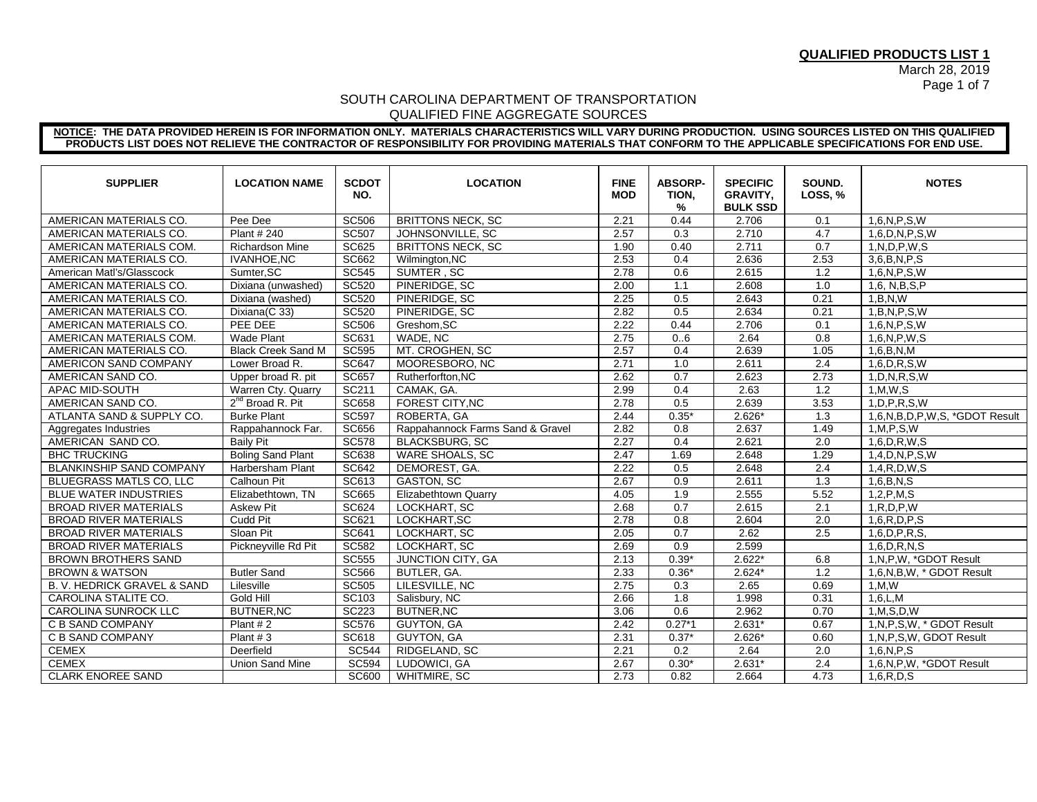March 28, 2019 Page 1 of 7

### SOUTH CAROLINA DEPARTMENT OF TRANSPORTATION QUALIFIED FINE AGGREGATE SOURCES

#### **NOTICE: THE DATA PROVIDED HEREIN IS FOR INFORMATION ONLY. MATERIALS CHARACTERISTICS WILL VARY DURING PRODUCTION. USING SOURCES LISTED ON THIS QUALIFIED PRODUCTS LIST DOES NOT RELIEVE THE CONTRACTOR OF RESPONSIBILITY FOR PROVIDING MATERIALS THAT CONFORM TO THE APPLICABLE SPECIFICATIONS FOR END USE.**

| <b>SUPPLIER</b>                 | <b>LOCATION NAME</b>         | <b>SCDOT</b><br>NO. | <b>LOCATION</b>                  | <b>FINE</b><br><b>MOD</b> | <b>ABSORP-</b><br>TION,<br>% | <b>SPECIFIC</b><br><b>GRAVITY,</b><br><b>BULK SSD</b> | SOUND.<br>LOSS, % | <b>NOTES</b>                  |
|---------------------------------|------------------------------|---------------------|----------------------------------|---------------------------|------------------------------|-------------------------------------------------------|-------------------|-------------------------------|
| AMERICAN MATERIALS CO.          | Pee Dee                      | <b>SC506</b>        | <b>BRITTONS NECK, SC</b>         | 2.21                      | 0.44                         | 2.706                                                 | 0.1               | 1,6,N,P,S,W                   |
| AMERICAN MATERIALS CO.          | Plant # 240                  | <b>SC507</b>        | JOHNSONVILLE, SC                 | 2.57                      | 0.3                          | 2.710                                                 | $\overline{4.7}$  | $1,6$ , D, N, P, S, W         |
| AMERICAN MATERIALS COM.         | <b>Richardson Mine</b>       | <b>SC625</b>        | <b>BRITTONS NECK, SC</b>         | 1.90                      | 0.40                         | 2.711                                                 | 0.7               | 1, N, D, P, W, S              |
| AMERICAN MATERIALS CO.          | <b>IVANHOE, NC</b>           | SC662               | Wilmington, NC                   | 2.53                      | 0.4                          | 2.636                                                 | 2.53              | 3.6.B.N.P.S                   |
| American Matl's/Glasscock       | Sumter, SC                   | <b>SC545</b>        | SUMTER, SC                       | 2.78                      | 0.6                          | 2.615                                                 | 1.2               | 1,6,N,P,S,W                   |
| AMERICAN MATERIALS CO.          | Dixiana (unwashed)           | <b>SC520</b>        | PINERIDGE, SC                    | 2.00                      | 1.1                          | 2.608                                                 | 1.0               | 1,6, N,B,S,P                  |
| AMERICAN MATERIALS CO.          | Dixiana (washed)             | <b>SC520</b>        | PINERIDGE, SC                    | 2.25                      | 0.5                          | 2.643                                                 | 0.21              | 1, B, N, W                    |
| AMERICAN MATERIALS CO.          | Dixiana(C 33)                | <b>SC520</b>        | PINERIDGE, SC                    | 2.82                      | 0.5                          | 2.634                                                 | 0.21              | 1,B,N,P,S,W                   |
| AMERICAN MATERIALS CO.          | PEE DEE                      | <b>SC506</b>        | Greshom, SC                      | 2.22                      | 0.44                         | 2.706                                                 | 0.1               | 1,6,N,P,S,W                   |
| AMERICAN MATERIALS COM.         | <b>Wade Plant</b>            | SC631               | WADE, NC                         | 2.75                      | 0.6                          | 2.64                                                  | 0.8               | 1,6,N,P,W,S                   |
| AMERICAN MATERIALS CO.          | <b>Black Creek Sand M</b>    | <b>SC595</b>        | MT. CROGHEN, SC                  | 2.57                      | 0.4                          | 2.639                                                 | 1.05              | 1,6,B,N,M                     |
| AMERICON SAND COMPANY           | Lower Broad R.               | <b>SC647</b>        | MOORESBORO, NC                   | 2.71                      | 1.0                          | 2.611                                                 | 2.4               | $\overline{1,6}$ , D, R, S, W |
| AMERICAN SAND CO.               | Upper broad R. pit           | <b>SC657</b>        | Rutherforfton.NC                 | 2.62                      | 0.7                          | 2.623                                                 | 2.73              | 1, D, N, R, S, W              |
| APAC MID-SOUTH                  | Warren Cty. Quarry           | SC211               | CAMAK, GA.                       | 2.99                      | 0.4                          | 2.63                                                  | 1.2               | 1, M, W, S                    |
| AMERICAN SAND CO.               | 2 <sup>nd</sup> Broad R. Pit | <b>SC658</b>        | <b>FOREST CITY.NC</b>            | 2.78                      | 0.5                          | 2.639                                                 | 3.53              | 1, D, P, R, S, W              |
| ATLANTA SAND & SUPPLY CO.       | <b>Burke Plant</b>           | <b>SC597</b>        | ROBERTA, GA                      | 2.44                      | $0.35*$                      | $2.626*$                                              | 1.3               | 1,6,N,B,D,P,W,S, *GDOT Result |
| Aggregates Industries           | Rappahannock Far.            | <b>SC656</b>        | Rappahannock Farms Sand & Gravel | 2.82                      | 0.8                          | 2.637                                                 | 1.49              | 1,M,P,S,W                     |
| AMERICAN SAND CO.               | <b>Baily Pit</b>             | <b>SC578</b>        | <b>BLACKSBURG, SC</b>            | 2.27                      | 0.4                          | 2.621                                                 | 2.0               | $1,6$ , D, R, W, S            |
| <b>BHC TRUCKING</b>             | <b>Boling Sand Plant</b>     | <b>SC638</b>        | <b>WARE SHOALS, SC</b>           | 2.47                      | 1.69                         | 2.648                                                 | 1.29              | 1,4, D,N,P,S,W                |
| <b>BLANKINSHIP SAND COMPANY</b> | Harbersham Plant             | <b>SC642</b>        | DEMOREST, GA.                    | 2.22                      | 0.5                          | 2.648                                                 | 2.4               | 1,4, R, D, W, S               |
| BLUEGRASS MATLS CO, LLC         | Calhoun Pit                  | SC613               | <b>GASTON, SC</b>                | 2.67                      | 0.9                          | 2.611                                                 | 1.3               | 1,6,B,N,S                     |
| <b>BLUE WATER INDUSTRIES</b>    | Elizabethtown, TN            | <b>SC665</b>        | Elizabethtown Quarry             | 4.05                      | 1.9                          | 2.555                                                 | 5.52              | 1, 2, P, M, S                 |
| <b>BROAD RIVER MATERIALS</b>    | <b>Askew Pit</b>             | SC624               | LOCKHART, SC                     | 2.68                      | 0.7                          | 2.615                                                 | 2.1               | 1, R, D, P, W                 |
| <b>BROAD RIVER MATERIALS</b>    | <b>Cudd Pit</b>              | SC621               | LOCKHART, SC                     | 2.78                      | 0.8                          | 2.604                                                 | 2.0               | 1,6, R, D, P, S               |
| <b>BROAD RIVER MATERIALS</b>    | Sloan Pit                    | <b>SC641</b>        | LOCKHART, SC                     | 2.05                      | 0.7                          | 2.62                                                  | 2.5               | 1,6, D, P, R, S,              |
| <b>BROAD RIVER MATERIALS</b>    | Pickneyville Rd Pit          | <b>SC582</b>        | LOCKHART, SC                     | 2.69                      | 0.9                          | 2.599                                                 |                   | 1,6, D, R, N, S               |
| <b>BROWN BROTHERS SAND</b>      |                              | <b>SC555</b>        | JUNCTION CITY, GA                | 2.13                      | $0.39*$                      | $2.622*$                                              | 6.8               | 1, N, P, W, *GDOT Result      |
| <b>BROWN &amp; WATSON</b>       | <b>Butler Sand</b>           | <b>SC566</b>        | BUTLER, GA.                      | 2.33                      | $0.36*$                      | $2.624*$                                              | 1.2               | 1,6,N,B,W, * GDOT Result      |
| B. V. HEDRICK GRAVEL & SAND     | Lilesville                   | <b>SC505</b>        | LILESVILLE, NC                   | 2.75                      | 0.3                          | 2.65                                                  | 0.69              | 1.M.W                         |
| CAROLINA STALITE CO.            | Gold Hill                    | SC103               | Salisbury, NC                    | 2.66                      | $\overline{1.8}$             | 1.998                                                 | 0.31              | 1,6,L,M                       |
| CAROLINA SUNROCK LLC            | <b>BUTNER.NC</b>             | <b>SC223</b>        | BUTNER, NC                       | 3.06                      | 0.6                          | 2.962                                                 | 0.70              | 1.M.S.D.W                     |
| C B SAND COMPANY                | Plant #2                     | <b>SC576</b>        | <b>GUYTON, GA</b>                | 2.42                      | $0.27*1$                     | $2.631*$                                              | 0.67              | 1, N, P, S, W, * GDOT Result  |
| C B SAND COMPANY                | Plant $#3$                   | <b>SC618</b>        | <b>GUYTON, GA</b>                | 2.31                      | $0.37*$                      | $2.626*$                                              | 0.60              | 1, N, P, S, W, GDOT Result    |
| <b>CEMEX</b>                    | Deerfield                    | <b>SC544</b>        | RIDGELAND, SC                    | 2.21                      | 0.2                          | 2.64                                                  | 2.0               | 1,6,N,P,S                     |
| <b>CEMEX</b>                    | <b>Union Sand Mine</b>       | <b>SC594</b>        | LUDOWICI, GA                     | 2.67                      | $0.30*$                      | $2.631*$                                              | 2.4               | 1.6.N.P.W. *GDOT Result       |
| <b>CLARK ENOREE SAND</b>        |                              | <b>SC600</b>        | <b>WHITMIRE, SC</b>              | 2.73                      | 0.82                         | 2.664                                                 | 4.73              | 1,6, R, D, S                  |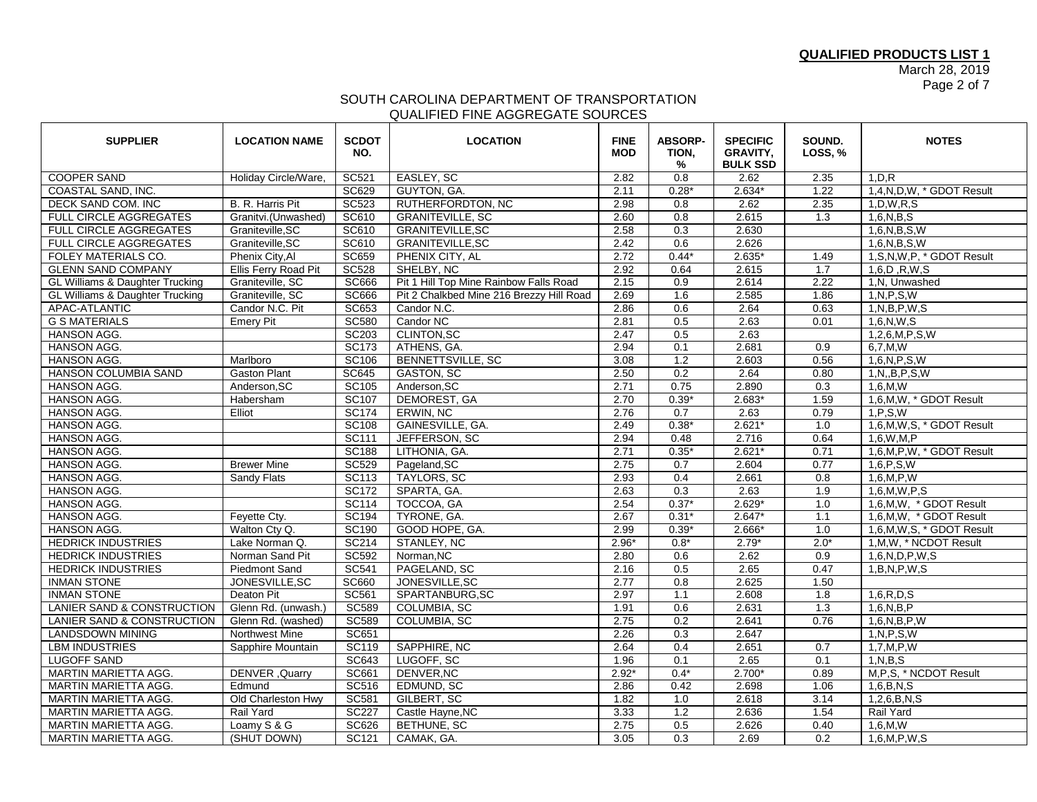March 28, 2019 Page 2 of 7

## SOUTH CAROLINA DEPARTMENT OF TRANSPORTATION QUALIFIED FINE AGGREGATE SOURCES

| <b>SUPPLIER</b>                            | <b>LOCATION NAME</b> | <b>SCDOT</b><br>NO. | <b>LOCATION</b>                          | <b>FINE</b><br><b>MOD</b> | <b>ABSORP-</b><br>TION,<br>$\%$ | <b>SPECIFIC</b><br><b>GRAVITY,</b><br><b>BULK SSD</b> | SOUND.<br><b>LOSS, %</b> | <b>NOTES</b>                 |
|--------------------------------------------|----------------------|---------------------|------------------------------------------|---------------------------|---------------------------------|-------------------------------------------------------|--------------------------|------------------------------|
| <b>COOPER SAND</b>                         | Holiday Circle/Ware, | SC521               | EASLEY, SC                               | 2.82                      | 0.8                             | 2.62                                                  | 2.35                     | 1, D, R                      |
| COASTAL SAND, INC.                         |                      | <b>SC629</b>        | GUYTON, GA.                              | 2.11                      | $0.28*$                         | $2.634*$                                              | 1.22                     | 1,4,N,D,W, * GDOT Result     |
| DECK SAND COM. INC                         | B. R. Harris Pit     | <b>SC523</b>        | RUTHERFORDTON, NC                        | 2.98                      | 0.8                             | 2.62                                                  | 2.35                     | 1, D, W, R, S                |
| FULL CIRCLE AGGREGATES                     | Granitvi.(Unwashed)  | SC610               | <b>GRANITEVILLE, SC</b>                  | 2.60                      | 0.8                             | 2.615                                                 | 1.3                      | 1,6,N,B,S                    |
| <b>FULL CIRCLE AGGREGATES</b>              | Graniteville, SC     | <b>SC610</b>        | <b>GRANITEVILLE, SC</b>                  | 2.58                      | 0.3                             | 2.630                                                 |                          | 1,6,N,B,S,W                  |
| <b>FULL CIRCLE AGGREGATES</b>              | Graniteville, SC     | SC610               | <b>GRANITEVILLE, SC</b>                  | 2.42                      | 0.6                             | 2.626                                                 |                          | 1,6,N,B,S,W                  |
| FOLEY MATERIALS CO.                        | Phenix City, Al      | <b>SC659</b>        | PHENIX CITY, AL                          | 2.72                      | $0.44*$                         | $2.635*$                                              | 1.49                     | 1, S, N, W, P, * GDOT Result |
| <b>GLENN SAND COMPANY</b>                  | Ellis Ferry Road Pit | <b>SC528</b>        | SHELBY, NC                               | 2.92                      | 0.64                            | 2.615                                                 | 1.7                      | 1,6,D,R,W,S                  |
| <b>GL Williams &amp; Daughter Trucking</b> | Graniteville, SC     | <b>SC666</b>        | Pit 1 Hill Top Mine Rainbow Falls Road   | 2.15                      | 0.9                             | 2.614                                                 | 2.22                     | 1, N, Unwashed               |
| GL Williams & Daughter Trucking            | Graniteville, SC     | <b>SC666</b>        | Pit 2 Chalkbed Mine 216 Brezzy Hill Road | 2.69                      | 1.6                             | 2.585                                                 | 1.86                     | 1, N, P, S, W                |
| APAC-ATLANTIC                              | Candor N.C. Pit      | SC653               | Candor N.C.                              | 2.86                      | 0.6                             | 2.64                                                  | 0.63                     | 1, N, B, P, W, S             |
| <b>G S MATERIALS</b>                       | <b>Emery Pit</b>     | <b>SC580</b>        | Candor NC                                | 2.81                      | 0.5                             | 2.63                                                  | 0.01                     | 1,6,N,W,S                    |
| <b>HANSON AGG.</b>                         |                      | SC203               | <b>CLINTON.SC</b>                        | 2.47                      | 0.5                             | 2.63                                                  |                          | 1,2,6,M,P,S,W                |
| <b>HANSON AGG.</b>                         |                      | SC173               | ATHENS, GA.                              | 2.94                      | 0.1                             | 2.681                                                 | 0.9                      | 6.7.M.W                      |
| <b>HANSON AGG.</b>                         | Marlboro             | SC106               | BENNETTSVILLE, SC                        | 3.08                      | 1.2                             | 2.603                                                 | 0.56                     | 1,6,N,P,S,W                  |
| HANSON COLUMBIA SAND                       | <b>Gaston Plant</b>  | <b>SC645</b>        | <b>GASTON, SC</b>                        | 2.50                      | 0.2                             | 2.64                                                  | 0.80                     | 1, N, B, P, S, W             |
| <b>HANSON AGG.</b>                         | Anderson.SC          | SC105               | Anderson.SC                              | 2.71                      | 0.75                            | 2.890                                                 | 0.3                      | 1.6.M.W                      |
| <b>HANSON AGG.</b>                         | Habersham            | <b>SC107</b>        | <b>DEMOREST, GA</b>                      | 2.70                      | $0.39*$                         | $2.683*$                                              | 1.59                     | 1,6,M,W, * GDOT Result       |
| HANSON AGG.                                | Elliot               | <b>SC174</b>        | ERWIN, NC                                | 2.76                      | 0.7                             | 2.63                                                  | 0.79                     | 1, P, S, W                   |
| HANSON AGG.                                |                      | <b>SC108</b>        | GAINESVILLE, GA.                         | 2.49                      | $0.38*$                         | $2.621*$                                              | 1.0                      | 1,6,M,W,S, * GDOT Result     |
| <b>HANSON AGG.</b>                         |                      | SC111               | JEFFERSON, SC                            | 2.94                      | 0.48                            | 2.716                                                 | 0.64                     | 1.6.W.M.P                    |
| HANSON AGG.                                |                      | <b>SC188</b>        | LITHONIA, GA.                            | 2.71                      | $0.35*$                         | 2.621'                                                | 0.71                     | 1,6,M,P,W, * GDOT Result     |
| <b>HANSON AGG.</b>                         | <b>Brewer Mine</b>   | <b>SC529</b>        | Pageland, SC                             | 2.75                      | 0.7                             | 2.604                                                 | 0.77                     | 1,6, P, S, W                 |
| HANSON AGG.                                | Sandy Flats          | SC113               | <b>TAYLORS, SC</b>                       | 2.93                      | 0.4                             | 2.661                                                 | 0.8                      | 1,6,M,P,W                    |
| <b>HANSON AGG.</b>                         |                      | <b>SC172</b>        | SPARTA, GA.                              | 2.63                      | 0.3                             | 2.63                                                  | 1.9                      | 1,6,M,W,P,S                  |
| <b>HANSON AGG.</b>                         |                      | <b>SC114</b>        | TOCCOA, GA                               | 2.54                      | $0.37*$                         | $2.629*$                                              | 1.0                      | 1,6,M,W, * GDOT Result       |
| HANSON AGG.                                | Feyette Cty.         | <b>SC194</b>        | TYRONE, GA.                              | 2.67                      | $0.31*$                         | $2.647*$                                              | 1.1                      | 1,6,M,W, * GDOT Result       |
| <b>HANSON AGG.</b>                         | Walton Ctv Q.        | SC190               | GOOD HOPE, GA.                           | 2.99                      | $0.39*$                         | 2.666*                                                | 1.0                      | 1,6,M,W,S, * GDOT Result     |
| <b>HEDRICK INDUSTRIES</b>                  | Lake Norman Q.       | SC214               | STANLEY, NC                              | $2.96*$                   | $0.8*$                          | $2.79*$                                               | $2.0*$                   | 1, M, W, * NCDOT Result      |
| <b>HEDRICK INDUSTRIES</b>                  | Norman Sand Pit      | <b>SC592</b>        | Norman.NC                                | 2.80                      | 0.6                             | 2.62                                                  | 0.9                      | 1,6,N,D,P,W,S                |
| <b>HEDRICK INDUSTRIES</b>                  | <b>Piedmont Sand</b> | <b>SC541</b>        | PAGELAND, SC                             | 2.16                      | 0.5                             | 2.65                                                  | 0.47                     | 1, B, N, P, W, S             |
| <b>INMAN STONE</b>                         | JONESVILLE, SC       | <b>SC660</b>        | JONESVILLE, SC                           | 2.77                      | $\overline{0.8}$                | 2.625                                                 | 1.50                     |                              |
| <b>INMAN STONE</b>                         | Deaton Pit           | <b>SC561</b>        | SPARTANBURG, SC                          | 2.97                      | 1.1                             | 2.608                                                 | 1.8                      | 1,6,R,D,S                    |
| <b>LANIER SAND &amp; CONSTRUCTION</b>      | Glenn Rd. (unwash.)  | <b>SC589</b>        | <b>COLUMBIA, SC</b>                      | 1.91                      | 0.6                             | 2.631                                                 | 1.3                      | 1,6,N,B,P                    |
| LANIER SAND & CONSTRUCTION                 | Glenn Rd. (washed)   | <b>SC589</b>        | COLUMBIA, SC                             | 2.75                      | 0.2                             | 2.641                                                 | 0.76                     | 1,6,N,B,P,W                  |
| <b>LANDSDOWN MINING</b>                    | Northwest Mine       | <b>SC651</b>        |                                          | 2.26                      | 0.3                             | 2.647                                                 |                          | 1, N, P, S, W                |
| <b>LBM INDUSTRIES</b>                      | Sapphire Mountain    | <b>SC119</b>        | SAPPHIRE, NC                             | 2.64                      | 0.4                             | 2.651                                                 | 0.7                      | 1,7,M,P,W                    |
| <b>LUGOFF SAND</b>                         |                      | <b>SC643</b>        | LUGOFF, SC                               | 1.96                      | 0.1                             | 2.65                                                  | 0.1                      | 1, N, B, S                   |
| MARTIN MARIETTA AGG.                       | DENVER, Quarry       | SC661               | DENVER, NC                               | $2.92*$                   | $0.4*$                          | $2.700*$                                              | 0.89                     | M, P, S, * NCDOT Result      |
| MARTIN MARIETTA AGG.                       | Edmund               | SC516               | EDMUND, SC                               | 2.86                      | 0.42                            | 2.698                                                 | 1.06                     | 1,6,B,N,S                    |
| MARTIN MARIETTA AGG.                       | Old Charleston Hwy   | <b>SC581</b>        | GILBERT, SC                              | 1.82                      | 1.0                             | 2.618                                                 | 3.14                     | 1,2,6,B,N,S                  |
| MARTIN MARIETTA AGG.                       | Rail Yard            | <b>SC227</b>        | Castle Hayne, NC                         | 3.33                      | 1.2                             | 2.636                                                 | 1.54                     | Rail Yard                    |
| MARTIN MARIETTA AGG.                       | Loamy S & G          | <b>SC626</b>        | BETHUNE, SC                              | 2.75                      | 0.5                             | 2.626                                                 | 0.40                     | 1,6,M,W                      |
| <b>MARTIN MARIETTA AGG.</b>                | (SHUT DOWN)          | SC121               | CAMAK, GA.                               | 3.05                      | 0.3                             | 2.69                                                  | 0.2                      | 1,6,M,P,W,S                  |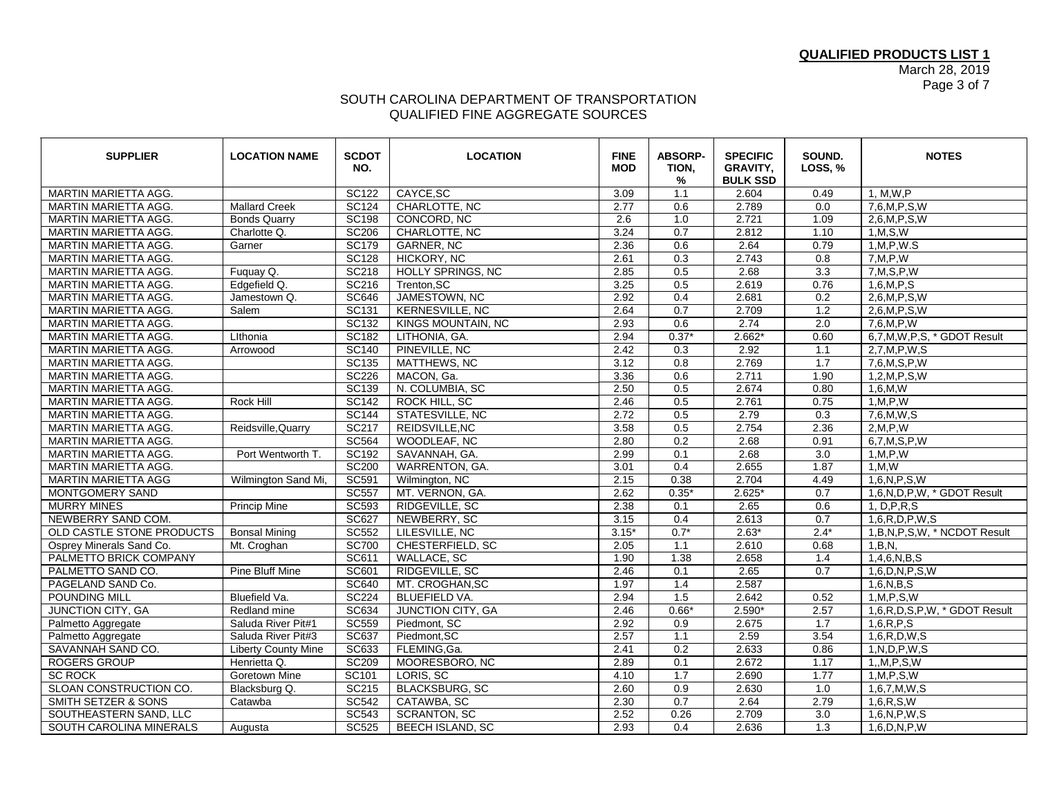March 28, 2019 Page 3 of 7

## SOUTH CAROLINA DEPARTMENT OF TRANSPORTATION QUALIFIED FINE AGGREGATE SOURCES

| <b>SUPPLIER</b>                | <b>LOCATION NAME</b>       | <b>SCDOT</b><br>NO. | <b>LOCATION</b>         | <b>FINE</b><br><b>MOD</b> | <b>ABSORP-</b><br>TION,<br>% | <b>SPECIFIC</b><br><b>GRAVITY,</b><br><b>BULK SSD</b> | SOUND.<br>LOSS, % | <b>NOTES</b>                      |
|--------------------------------|----------------------------|---------------------|-------------------------|---------------------------|------------------------------|-------------------------------------------------------|-------------------|-----------------------------------|
| <b>MARTIN MARIETTA AGG.</b>    |                            | <b>SC122</b>        | CAYCE, SC               | 3.09                      | 1.1                          | 2.604                                                 | 0.49              | 1, M, W, P                        |
| MARTIN MARIETTA AGG.           | <b>Mallard Creek</b>       | SC124               | CHARLOTTE, NC           | 2.77                      | 0.6                          | 2.789                                                 | 0.0               | 7,6,M,P,S,W                       |
| <b>MARTIN MARIETTA AGG.</b>    | <b>Bonds Quarry</b>        | <b>SC198</b>        | CONCORD, NC             | 2.6                       | 1.0                          | 2.721                                                 | 1.09              | 2,6, M, P, S, W                   |
| MARTIN MARIETTA AGG.           | Charlotte Q.               | <b>SC206</b>        | CHARLOTTE, NC           | 3.24                      | 0.7                          | 2.812                                                 | 1.10              | 1, M, S, W                        |
| <b>MARTIN MARIETTA AGG.</b>    | Garner                     | SC179               | <b>GARNER, NC</b>       | 2.36                      | 0.6                          | 2.64                                                  | 0.79              | 1.M.P.W.S                         |
| MARTIN MARIETTA AGG.           |                            | <b>SC128</b>        | HICKORY, NC             | 2.61                      | 0.3                          | 2.743                                                 | 0.8               | 7, M, P, W                        |
| <b>MARTIN MARIETTA AGG.</b>    | Fuquay Q.                  | <b>SC218</b>        | HOLLY SPRINGS, NC       | 2.85                      | 0.5                          | 2.68                                                  | 3.3               | 7, M, S, P, W                     |
| <b>MARTIN MARIETTA AGG.</b>    | Edgefield Q.               | <b>SC216</b>        | Trenton.SC              | 3.25                      | $\overline{0.5}$             | 2.619                                                 | 0.76              | $1.6$ .M.P.S                      |
| MARTIN MARIETTA AGG.           | Jamestown Q.               | <b>SC646</b>        | JAMESTOWN, NC           | 2.92                      | 0.4                          | 2.681                                                 | 0.2               | 2,6,M,P,S,W                       |
| MARTIN MARIETTA AGG.           | Salem                      | SC131               | <b>KERNESVILLE, NC</b>  | 2.64                      | $\overline{0.7}$             | 2.709                                                 | $\overline{1.2}$  | 2,6,M,P,S,W                       |
| MARTIN MARIETTA AGG.           |                            | SC132               | KINGS MOUNTAIN, NC      | 2.93                      | 0.6                          | 2.74                                                  | 2.0               | 7,6,M,P,W                         |
| <b>MARTIN MARIETTA AGG.</b>    | Lithonia                   | <b>SC182</b>        | LITHONIA, GA.           | 2.94                      | $0.37*$                      | $2.662*$                                              | 0.60              | 6,7,M,W,P,S, * GDOT Result        |
| MARTIN MARIETTA AGG.           | Arrowood                   | <b>SC140</b>        | PINEVILLE, NC           | 2.42                      | 0.3                          | 2.92                                                  | 1.1               | 2,7,M,P,W,S                       |
| MARTIN MARIETTA AGG.           |                            | SC135               | MATTHEWS, NC            | 3.12                      | 0.8                          | 2.769                                                 | 1.7               | 7,6,M,S,P,W                       |
| MARTIN MARIETTA AGG.           |                            | <b>SC226</b>        | MACON, Ga.              | 3.36                      | 0.6                          | 2.711                                                 | 1.90              | 1,2,M,P,S,W                       |
| <b>MARTIN MARIETTA AGG.</b>    |                            | <b>SC139</b>        | N. COLUMBIA, SC         | 2.50                      | 0.5                          | 2.674                                                 | 0.80              | 1,6,M,W                           |
| <b>MARTIN MARIETTA AGG.</b>    | Rock Hill                  | <b>SC142</b>        | ROCK HILL, SC           | 2.46                      | 0.5                          | 2.761                                                 | 0.75              | 1, M, P, W                        |
| MARTIN MARIETTA AGG.           |                            | <b>SC144</b>        | STATESVILLE, NC         | 2.72                      | 0.5                          | 2.79                                                  | $\overline{0.3}$  | 7,6,M,W,S                         |
| MARTIN MARIETTA AGG.           | Reidsville, Quarry         | <b>SC217</b>        | REIDSVILLE, NC          | 3.58                      | 0.5                          | 2.754                                                 | 2.36              | 2, M, P, W                        |
| MARTIN MARIETTA AGG.           |                            | <b>SC564</b>        | WOODLEAF, NC            | 2.80                      | 0.2                          | 2.68                                                  | 0.91              | 6,7, M, S, P, W                   |
| <b>MARTIN MARIETTA AGG.</b>    | Port Wentworth T.          | <b>SC192</b>        | SAVANNAH, GA.           | 2.99                      | $\overline{0.1}$             | 2.68                                                  | $\overline{3.0}$  | 1, M, P, W                        |
| MARTIN MARIETTA AGG.           |                            | <b>SC200</b>        | WARRENTON, GA.          | 3.01                      | 0.4                          | 2.655                                                 | 1.87              | 1, M, W                           |
| <b>MARTIN MARIETTA AGG</b>     | Wilmington Sand Mi,        | SC591               | Wilmington, NC          | 2.15                      | 0.38                         | 2.704                                                 | 4.49              | 1,6,N,P,S,W                       |
| MONTGOMERY SAND                |                            | <b>SC557</b>        | MT. VERNON, GA.         | 2.62                      | $0.35*$                      | $2.625*$                                              | 0.7               | 1.6.N.D.P.W. * GDOT Result        |
| <b>MURRY MINES</b>             | <b>Princip Mine</b>        | <b>SC593</b>        | RIDGEVILLE, SC          | 2.38                      | 0.1                          | 2.65                                                  | 0.6               | 1, D, P, R, S                     |
| NEWBERRY SAND COM.             |                            | <b>SC627</b>        | NEWBERRY, SC            | 3.15                      | 0.4                          | 2.613                                                 | 0.7               | 1,6, R, D, P, W, S                |
| OLD CASTLE STONE PRODUCTS      | <b>Bonsal Mining</b>       | <b>SC552</b>        | LILESVILLE, NC          | $3.15*$                   | $0.7*$                       | $2.63*$                                               | $2.4*$            | 1, B, N, P, S, W, * NCDOT Result  |
| Osprey Minerals Sand Co.       | Mt. Croghan                | <b>SC700</b>        | CHESTERFIELD, SC        | 2.05                      | 1.1                          | 2.610                                                 | 0.68              | 1,B,N                             |
| PALMETTO BRICK COMPANY         |                            | SC611               | WALLACE, SC             | 1.90                      | 1.38                         | 2.658                                                 | 1.4               | 1,4,6,N,B,S                       |
| PALMETTO SAND CO.              | <b>Pine Bluff Mine</b>     | SC601               | RIDGEVILLE, SC          | 2.46                      | 0.1                          | 2.65                                                  | 0.7               | 1,6, D, N, P, S, W                |
| PAGELAND SAND Co.              |                            | <b>SC640</b>        | MT. CROGHAN, SC         | 1.97                      | 1.4                          | 2.587                                                 |                   | 1,6,N,B,S                         |
| <b>POUNDING MILL</b>           | Bluefield Va.              | <b>SC224</b>        | <b>BLUEFIELD VA.</b>    | 2.94                      | 1.5                          | 2.642                                                 | 0.52              | 1, M, P, S, W                     |
| JUNCTION CITY, GA              | Redland mine               | SC634               | JUNCTION CITY, GA       | 2.46                      | $0.66*$                      | $2.590*$                                              | 2.57              | 1,6, R, D, S, P, W, * GDOT Result |
| Palmetto Aggregate             | Saluda River Pit#1         | <b>SC559</b>        | Piedmont, SC            | 2.92                      | 0.9                          | 2.675                                                 | 1.7               | 1,6, R, P, S                      |
| Palmetto Aggregate             | Saluda River Pit#3         | SC637               | Piedmont, SC            | 2.57                      | 1.1                          | 2.59                                                  | 3.54              | 1,6, R, D, W, S                   |
| SAVANNAH SAND CO.              | <b>Liberty County Mine</b> | <b>SC633</b>        | FLEMING, Ga.            | 2.41                      | 0.2                          | 2.633                                                 | 0.86              | 1, N, D, P, W, S                  |
| <b>ROGERS GROUP</b>            | Henrietta Q.               | <b>SC209</b>        | MOORESBORO, NC          | 2.89                      | 0.1                          | 2.672                                                 | 1.17              | 1, M, P, S, W                     |
| <b>SC ROCK</b>                 | Goretown Mine              | SC101               | LORIS, SC               | 4.10                      | 1.7                          | 2.690                                                 | 1.77              | 1, M, P, S, W                     |
| SLOAN CONSTRUCTION CO.         | Blacksburg Q.              | SC215               | <b>BLACKSBURG, SC</b>   | 2.60                      | 0.9                          | 2.630                                                 | 1.0               | 1,6,7,M,W,S                       |
| <b>SMITH SETZER &amp; SONS</b> | Catawba                    | <b>SC542</b>        | CATAWBA, SC             | 2.30                      | 0.7                          | 2.64                                                  | 2.79              | 1,6, R, S, W                      |
| SOUTHEASTERN SAND, LLC         |                            | <b>SC543</b>        | <b>SCRANTON, SC</b>     | 2.52                      | 0.26                         | 2.709                                                 | $\overline{3.0}$  | 1,6,N,P,W,S                       |
| <b>SOUTH CAROLINA MINERALS</b> | Augusta                    | <b>SC525</b>        | <b>BEECH ISLAND, SC</b> | 2.93                      | 0.4                          | 2.636                                                 | 1.3               | $1,6$ , $D$ , $N$ , $P$ , $W$     |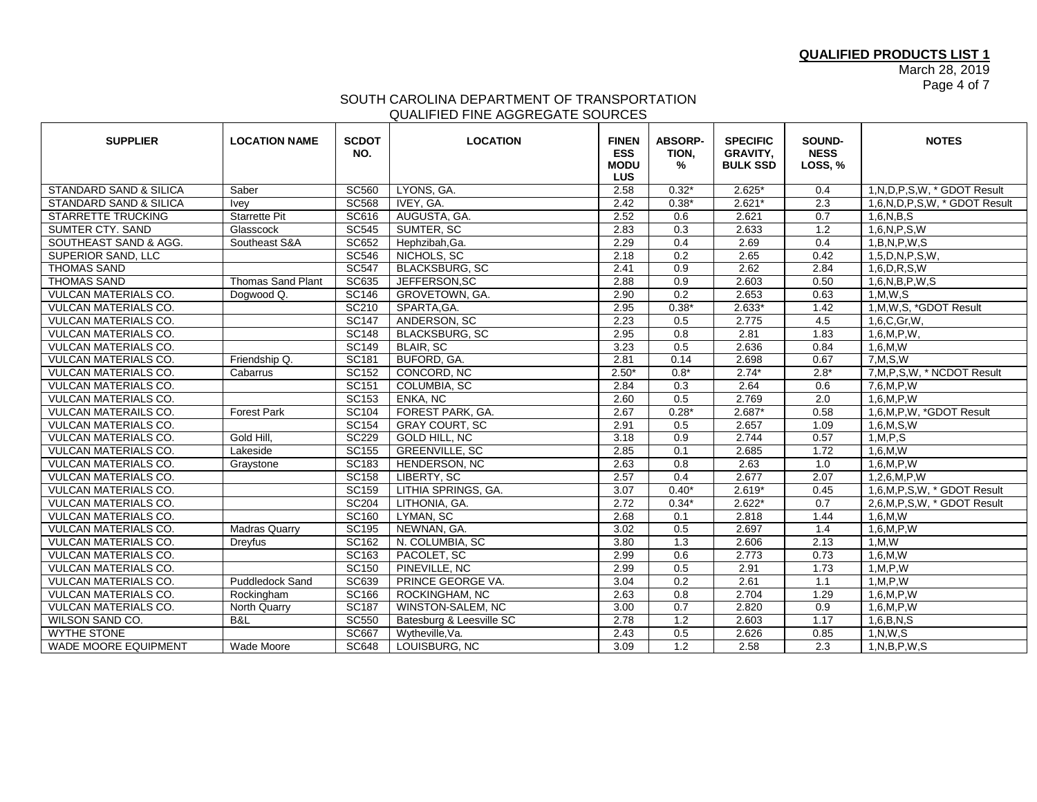March 28, 2019 Page 4 of 7

## SOUTH CAROLINA DEPARTMENT OF TRANSPORTATION QUALIFIED FINE AGGREGATE SOURCES

| <b>SUPPLIER</b>             | <b>LOCATION NAME</b>     | <b>SCDOT</b><br>NO. | <b>LOCATION</b>          | <b>FINEN</b><br><b>ESS</b><br><b>MODU</b><br><b>LUS</b> | <b>ABSORP-</b><br>TION,<br>% | <b>SPECIFIC</b><br><b>GRAVITY.</b><br><b>BULK SSD</b> | SOUND-<br><b>NESS</b><br>LOSS, % | <b>NOTES</b>                    |
|-----------------------------|--------------------------|---------------------|--------------------------|---------------------------------------------------------|------------------------------|-------------------------------------------------------|----------------------------------|---------------------------------|
| STANDARD SAND & SILICA      | Saber                    | <b>SC560</b>        | LYONS, GA.               | 2.58                                                    | $0.32*$                      | $2.625*$                                              | 0.4                              | 1, N, D, P, S, W, * GDOT Result |
| STANDARD SAND & SILICA      | <b>Ivey</b>              | <b>SC568</b>        | IVEY, GA.                | 2.42                                                    | $0.38*$                      | $2.621*$                                              | 2.3                              | 1,6,N,D,P,S,W, * GDOT Result    |
| <b>STARRETTE TRUCKING</b>   | <b>Starrette Pit</b>     | <b>SC616</b>        | AUGUSTA, GA.             | 2.52                                                    | 0.6                          | 2.621                                                 | 0.7                              | 1,6,N,B,S                       |
| <b>SUMTER CTY. SAND</b>     | Glasscock                | <b>SC545</b>        | SUMTER, SC               | 2.83                                                    | 0.3                          | 2.633                                                 | 1.2                              | 1,6,N,P,S,W                     |
| SOUTHEAST SAND & AGG.       | Southeast S&A            | <b>SC652</b>        | Hephzibah, Ga.           | 2.29                                                    | 0.4                          | 2.69                                                  | 0.4                              | 1,B,N,P,W,S                     |
| <b>SUPERIOR SAND, LLC</b>   |                          | <b>SC546</b>        | NICHOLS, SC              | 2.18                                                    | 0.2                          | 2.65                                                  | 0.42                             | 1,5, D, N, P, S, W,             |
| <b>THOMAS SAND</b>          |                          | <b>SC547</b>        | <b>BLACKSBURG, SC</b>    | 2.41                                                    | 0.9                          | 2.62                                                  | 2.84                             | $1,6$ , D, R, S, W              |
| <b>THOMAS SAND</b>          | <b>Thomas Sand Plant</b> | <b>SC635</b>        | JEFFERSON, SC            | 2.88                                                    | 0.9                          | 2.603                                                 | 0.50                             | 1,6,N,B,P,W,S                   |
| VULCAN MATERIALS CO.        | Dogwood Q.               | <b>SC146</b>        | GROVETOWN, GA.           | 2.90                                                    | 0.2                          | 2.653                                                 | 0.63                             | 1, M, W, S                      |
| <b>VULCAN MATERIALS CO.</b> |                          | SC210               | SPARTA, GA.              | 2.95                                                    | $0.38*$                      | $2.633*$                                              | 1.42                             | 1, M, W, S, *GDOT Result        |
| <b>VULCAN MATERIALS CO.</b> |                          | <b>SC147</b>        | ANDERSON, SC             | 2.23                                                    | 0.5                          | 2.775                                                 | 4.5                              | 1.6.C.Gr.W.                     |
| <b>VULCAN MATERIALS CO.</b> |                          | <b>SC148</b>        | <b>BLACKSBURG, SC</b>    | 2.95                                                    | 0.8                          | 2.81                                                  | 1.83                             | 1,6,M,P,W,                      |
| <b>VULCAN MATERIALS CO.</b> |                          | <b>SC149</b>        | <b>BLAIR, SC</b>         | 3.23                                                    | 0.5                          | 2.636                                                 | 0.84                             | 1,6,M,W                         |
| VULCAN MATERIALS CO.        | Friendship Q.            | <b>SC181</b>        | BUFORD, GA.              | 2.81                                                    | 0.14                         | 2.698                                                 | 0.67                             | 7.M.S.W                         |
| <b>VULCAN MATERIALS CO.</b> | Cabarrus                 | SC152               | CONCORD, NC              | $2.50*$                                                 | $0.8*$                       | $2.74*$                                               | $2.8*$                           | 7, M, P, S, W, * NCDOT Result   |
| VULCAN MATERIALS CO.        |                          | SC151               | <b>COLUMBIA, SC</b>      | 2.84                                                    | 0.3                          | 2.64                                                  | 0.6                              | 7,6,M,P,W                       |
| VULCAN MATERIALS CO.        |                          | SC153               | ENKA, NC                 | 2.60                                                    | 0.5                          | 2.769                                                 | 2.0                              | 1,6,M,P,W                       |
| <b>VULCAN MATERAILS CO.</b> | <b>Forest Park</b>       | <b>SC104</b>        | FOREST PARK, GA.         | 2.67                                                    | $0.28*$                      | $2.687*$                                              | 0.58                             | 1,6,M,P,W, *GDOT Result         |
| <b>VULCAN MATERIALS CO.</b> |                          | SC154               | <b>GRAY COURT, SC</b>    | 2.91                                                    | 0.5                          | 2.657                                                 | 1.09                             | 1,6,M, S,W                      |
| VULCAN MATERIALS CO.        | Gold Hill,               | <b>SC229</b>        | GOLD HILL, NC            | 3.18                                                    | 0.9                          | 2.744                                                 | 0.57                             | 1, M, P, S                      |
| <b>VULCAN MATERIALS CO.</b> | Lakeside                 | <b>SC155</b>        | <b>GREENVILLE, SC</b>    | 2.85                                                    | 0.1                          | 2.685                                                 | 1.72                             | 1,6,M,W                         |
| VULCAN MATERIALS CO.        | Graystone                | <b>SC183</b>        | HENDERSON, NC            | 2.63                                                    | 0.8                          | 2.63                                                  | 1.0                              | 1,6,M,P,W                       |
| <b>VULCAN MATERIALS CO.</b> |                          | <b>SC158</b>        | LIBERTY, SC              | 2.57                                                    | 0.4                          | 2.677                                                 | 2.07                             | 1,2,6,M,P,W                     |
| VULCAN MATERIALS CO.        |                          | <b>SC159</b>        | LITHIA SPRINGS, GA.      | 3.07                                                    | $0.40*$                      | $2.619*$                                              | 0.45                             | 1,6, M, P, S, W, * GDOT Result  |
| <b>VULCAN MATERIALS CO.</b> |                          | <b>SC204</b>        | LITHONIA, GA.            | 2.72                                                    | $0.34*$                      | $2.622*$                                              | $\overline{0.7}$                 | 2,6,M,P,S,W, * GDOT Result      |
| VULCAN MATERIALS CO.        |                          | <b>SC160</b>        | LYMAN, SC                | 2.68                                                    | 0.1                          | 2.818                                                 | 1.44                             | 1,6,M,W                         |
| <b>VULCAN MATERIALS CO.</b> | <b>Madras Quarry</b>     | <b>SC195</b>        | NEWNAN, GA.              | 3.02                                                    | 0.5                          | 2.697                                                 | 1.4                              | 1,6,M,P,W                       |
| VULCAN MATERIALS CO.        | Dreyfus                  | SC162               | N. COLUMBIA, SC          | 3.80                                                    | 1.3                          | 2.606                                                 | 2.13                             | 1, M, W                         |
| <b>VULCAN MATERIALS CO.</b> |                          | SC163               | PACOLET, SC              | 2.99                                                    | 0.6                          | 2.773                                                 | 0.73                             | 1,6,M,W                         |
| <b>VULCAN MATERIALS CO.</b> |                          | <b>SC150</b>        | PINEVILLE, NC            | 2.99                                                    | 0.5                          | 2.91                                                  | 1.73                             | 1, M, P, W                      |
| <b>VULCAN MATERIALS CO.</b> | Puddledock Sand          | <b>SC639</b>        | PRINCE GEORGE VA.        | 3.04                                                    | 0.2                          | 2.61                                                  | 1.1                              | 1, M, P, W                      |
| <b>VULCAN MATERIALS CO.</b> | Rockingham               | SC166               | ROCKINGHAM, NC           | 2.63                                                    | 0.8                          | 2.704                                                 | 1.29                             | 1,6,M,P,W                       |
| <b>VULCAN MATERIALS CO.</b> | <b>North Quarry</b>      | <b>SC187</b>        | WINSTON-SALEM, NC        | 3.00                                                    | 0.7                          | 2.820                                                 | 0.9                              | 1,6,M,P,W                       |
| WILSON SAND CO.             | B&L                      | <b>SC550</b>        | Batesburg & Leesville SC | 2.78                                                    | 1.2                          | 2.603                                                 | 1.17                             | 1,6, B, N, S                    |
| WYTHE STONE                 |                          | <b>SC667</b>        | Wytheville, Va.          | 2.43                                                    | 0.5                          | 2.626                                                 | 0.85                             | 1, N, W, S                      |
| WADE MOORE EQUIPMENT        | Wade Moore               | <b>SC648</b>        | LOUISBURG, NC            | 3.09                                                    | 1.2                          | 2.58                                                  | 2.3                              | 1, N, B, P, W, S                |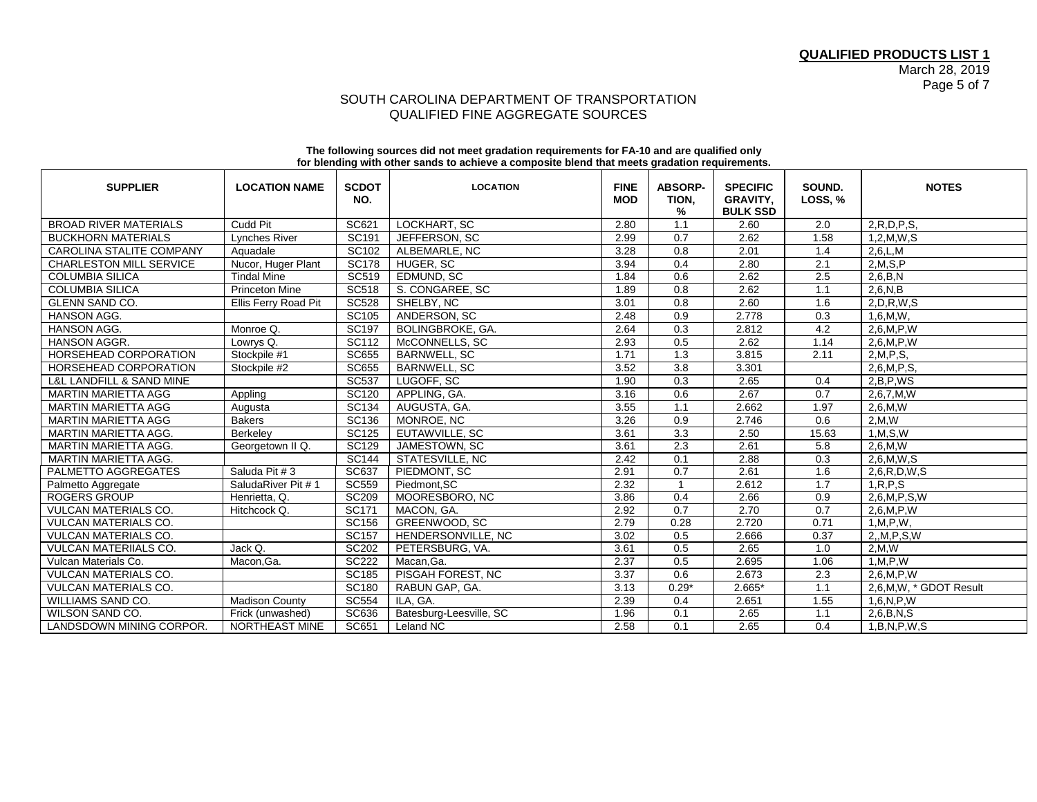## SOUTH CAROLINA DEPARTMENT OF TRANSPORTATION QUALIFIED FINE AGGREGATE SOURCES

|                                         |                       |                     | 0. Dividing man value bando to abilio ro a bompoblic bichu alat mocto grudulon roquiromonto. |                           |                              |                                                       |                     |                        |
|-----------------------------------------|-----------------------|---------------------|----------------------------------------------------------------------------------------------|---------------------------|------------------------------|-------------------------------------------------------|---------------------|------------------------|
| <b>SUPPLIER</b>                         | <b>LOCATION NAME</b>  | <b>SCDOT</b><br>NO. | <b>LOCATION</b>                                                                              | <b>FINE</b><br><b>MOD</b> | <b>ABSORP-</b><br>TION,<br>% | <b>SPECIFIC</b><br><b>GRAVITY,</b><br><b>BULK SSD</b> | SOUND.<br>LOSS, $%$ | <b>NOTES</b>           |
| <b>BROAD RIVER MATERIALS</b>            | Cudd Pit              | SC621               | LOCKHART, SC                                                                                 | 2.80                      | 1.1                          | 2.60                                                  | 2.0                 | 2, R, D, P, S          |
| <b>BUCKHORN MATERIALS</b>               | Lynches River         | SC191               | JEFFERSON, SC                                                                                | 2.99                      | 0.7                          | 2.62                                                  | 1.58                | 1,2,M,W,S              |
| CAROLINA STALITE COMPANY                | Aquadale              | SC102               | ALBEMARLE, NC                                                                                | 3.28                      | 0.8                          | 2.01                                                  | 1.4                 | 2,6,L,M                |
| <b>CHARLESTON MILL SERVICE</b>          | Nucor, Huger Plant    | <b>SC178</b>        | HUGER, SC                                                                                    | 3.94                      | 0.4                          | 2.80                                                  | 2.1                 | 2, M, S, P             |
| <b>COLUMBIA SILICA</b>                  | <b>Tindal Mine</b>    | <b>SC519</b>        | EDMUND, SC                                                                                   | 1.84                      | 0.6                          | 2.62                                                  | 2.5                 | 2,6,B,N                |
| <b>COLUMBIA SILICA</b>                  | <b>Princeton Mine</b> | <b>SC518</b>        | S. CONGAREE, SC                                                                              | 1.89                      | 0.8                          | 2.62                                                  | 1.1                 | 2,6,N,B                |
| <b>GLENN SAND CO.</b>                   | Ellis Ferry Road Pit  | <b>SC528</b>        | SHELBY, NC                                                                                   | 3.01                      | 0.8                          | 2.60                                                  | 1.6                 | 2, D, R, W, S          |
| HANSON AGG.                             |                       | SC105               | ANDERSON, SC                                                                                 | 2.48                      | 0.9                          | 2.778                                                 | 0.3                 | 1,6,M,W,               |
| HANSON AGG.                             | Monroe Q.             | <b>SC197</b>        | BOLINGBROKE, GA.                                                                             | 2.64                      | 0.3                          | 2.812                                                 | 4.2                 | 2,6,M,P,W              |
| HANSON AGGR.                            | Lowrys Q.             | SC112               | McCONNELLS, SC                                                                               | 2.93                      | 0.5                          | 2.62                                                  | 1.14                | 2,6,M,P,W              |
| HORSEHEAD CORPORATION                   | Stockpile #1          | <b>SC655</b>        | <b>BARNWELL, SC</b>                                                                          | 1.71                      | 1.3                          | 3.815                                                 | 2.11                | 2,M,P,S,               |
| <b>HORSEHEAD CORPORATION</b>            | Stockpile #2          | <b>SC655</b>        | <b>BARNWELL, SC</b>                                                                          | 3.52                      | $\overline{3.8}$             | 3.301                                                 |                     | 2.6.M.P.S.             |
| <b>L&amp;L LANDFILL &amp; SAND MINE</b> |                       | <b>SC537</b>        | LUGOFF, SC                                                                                   | 1.90                      | 0.3                          | 2.65                                                  | 0.4                 | 2.B.P.WS               |
| <b>MARTIN MARIETTA AGG</b>              | Appling               | <b>SC120</b>        | APPLING, GA.                                                                                 | 3.16                      | 0.6                          | 2.67                                                  | 0.7                 | 2,6,7,M,W              |
| <b>MARTIN MARIETTA AGG</b>              | Augusta               | SC134               | AUGUSTA, GA.                                                                                 | 3.55                      | 1.1                          | 2.662                                                 | 1.97                | 2,6,M,W                |
| <b>MARTIN MARIETTA AGG</b>              | <b>Bakers</b>         | <b>SC136</b>        | MONROE, NC                                                                                   | 3.26                      | 0.9                          | 2.746                                                 | 0.6                 | 2,M,W                  |
| <b>MARTIN MARIETTA AGG.</b>             | Berkeley              | <b>SC125</b>        | EUTAWVILLE, SC                                                                               | 3.61                      | 3.3                          | 2.50                                                  | 15.63               | 1, M, S, W             |
| <b>MARTIN MARIETTA AGG.</b>             | Georgetown II Q.      | <b>SC129</b>        | JAMESTOWN, SC                                                                                | 3.61                      | 2.3                          | 2.61                                                  | 5.8                 | 2,6,M,W                |
| <b>MARTIN MARIETTA AGG.</b>             |                       | <b>SC144</b>        | STATESVILLE, NC                                                                              | 2.42                      | 0.1                          | 2.88                                                  | 0.3                 | 2,6,M,W,S              |
| PALMETTO AGGREGATES                     | Saluda Pit #3         | SC637               | PIEDMONT, SC                                                                                 | 2.91                      | 0.7                          | 2.61                                                  | 1.6                 | 2,6, R, D, W, S        |
| Palmetto Aggregate                      | SaludaRiver Pit #1    | <b>SC559</b>        | Piedmont.SC                                                                                  | 2.32                      |                              | 2.612                                                 | 1.7                 | 1, R, P, S             |
| <b>ROGERS GROUP</b>                     | Henrietta, Q.         | <b>SC209</b>        | MOORESBORO, NC                                                                               | 3.86                      | 0.4                          | 2.66                                                  | 0.9                 | 2,6,M,P,S,W            |
| <b>VULCAN MATERIALS CO.</b>             | Hitchcock Q.          | SC171               | MACON, GA.                                                                                   | 2.92                      | 0.7                          | 2.70                                                  | 0.7                 | 2,6,M,P,W              |
| <b>VULCAN MATERIALS CO.</b>             |                       | <b>SC156</b>        | GREENWOOD, SC                                                                                | 2.79                      | 0.28                         | 2.720                                                 | 0.71                | 1, M, P, W,            |
| <b>VULCAN MATERIALS CO.</b>             |                       | <b>SC157</b>        | HENDERSONVILLE, NC                                                                           | 3.02                      | 0.5                          | 2.666                                                 | 0.37                | 2, M, P, S, W          |
| VULCAN MATERIIALS CO.                   | Jack Q.               | <b>SC202</b>        | PETERSBURG, VA.                                                                              | 3.61                      | 0.5                          | 2.65                                                  | 1.0                 | 2,M,W                  |
| Vulcan Materials Co.                    | Macon, Ga.            | <b>SC222</b>        | Macan, Ga.                                                                                   | 2.37                      | 0.5                          | 2.695                                                 | 1.06                | 1, M, P, W             |
| <b>VULCAN MATERIALS CO.</b>             |                       | SC185               | PISGAH FOREST, NC                                                                            | 3.37                      | 0.6                          | 2.673                                                 | 2.3                 | 2,6,M,P,W              |
| <b>VULCAN MATERIALS CO.</b>             |                       | <b>SC180</b>        | RABUN GAP, GA.                                                                               | 3.13                      | $0.29*$                      | $2.665*$                                              | 1.1                 | 2,6,M,W, * GDOT Result |
| WILLIAMS SAND CO.                       | <b>Madison County</b> | <b>SC554</b>        | ILA. GA.                                                                                     | 2.39                      | 0.4                          | 2.651                                                 | 1.55                | 1,6,N,P,W              |
| <b>WILSON SAND CO.</b>                  | Frick (unwashed)      | SC636               | Batesburg-Leesville, SC                                                                      | 1.96                      | 0.1                          | 2.65                                                  | 1.1                 | 2,6,B,N,S              |
| LANDSDOWN MINING CORPOR.                | <b>NORTHEAST MINE</b> | SC651               | Leland NC                                                                                    | 2.58                      | 0.1                          | 2.65                                                  | 0.4                 | 1,B,N,P,W,S            |

#### **The following sources did not meet gradation requirements for FA-10 and are qualified only for blending with other sands to achieve a composite blend that meets gradation requirements.**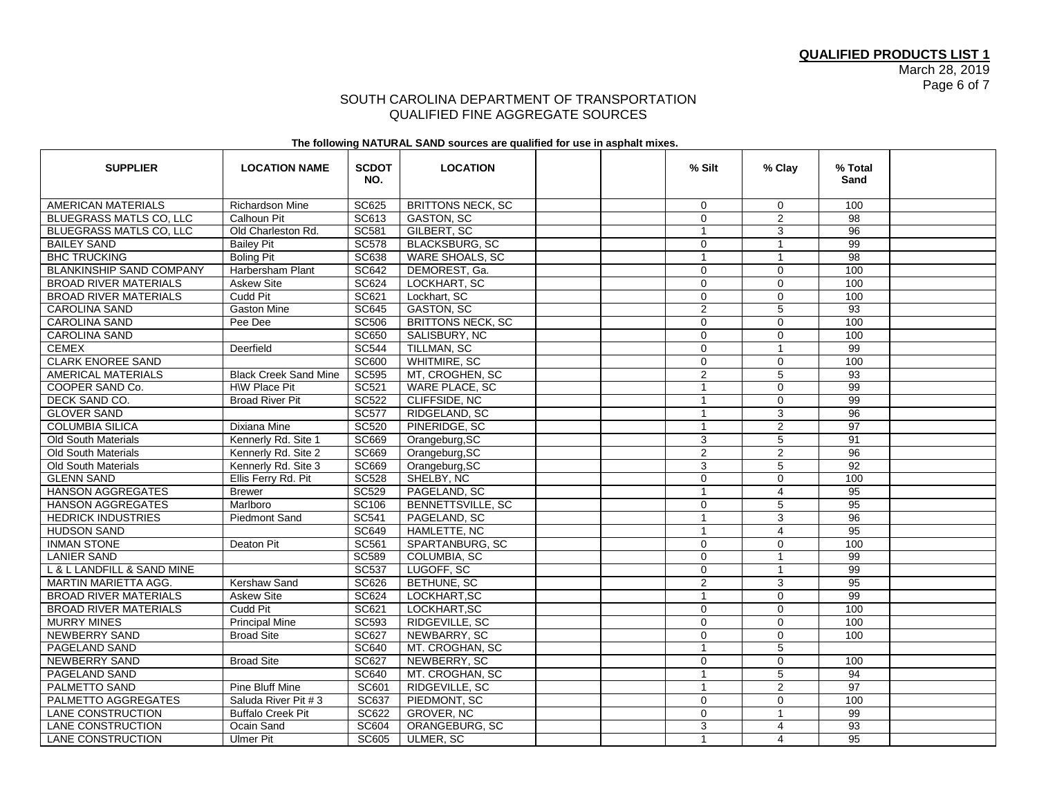### SOUTH CAROLINA DEPARTMENT OF TRANSPORTATION QUALIFIED FINE AGGREGATE SOURCES

#### **The following NATURAL SAND sources are qualified for use in asphalt mixes.**

| <b>SUPPLIER</b>                 | <b>LOCATION NAME</b>         | <b>SCDOT</b><br>NO. | <b>LOCATION</b>          | % Silt         | $%$ Clay       | % Total<br>Sand |  |
|---------------------------------|------------------------------|---------------------|--------------------------|----------------|----------------|-----------------|--|
| AMERICAN MATERIALS              | Richardson Mine              | SC625               | <b>BRITTONS NECK, SC</b> | $\mathbf{0}$   | $\mathbf 0$    | 100             |  |
| <b>BLUEGRASS MATLS CO. LLC</b>  | Calhoun Pit                  | SC613               | <b>GASTON, SC</b>        | $\mathbf 0$    | $\overline{2}$ | 98              |  |
| <b>BLUEGRASS MATLS CO, LLC</b>  | Old Charleston Rd.           | <b>SC581</b>        | GILBERT, SC              | $\mathbf{1}$   | 3              | 96              |  |
| <b>BAILEY SAND</b>              | <b>Bailey Pit</b>            | <b>SC578</b>        | <b>BLACKSBURG, SC</b>    | $\mathbf 0$    | $\mathbf{1}$   | 99              |  |
| <b>BHC TRUCKING</b>             | <b>Boling Pit</b>            | <b>SC638</b>        | WARE SHOALS, SC          | $\mathbf{1}$   | $\mathbf{1}$   | 98              |  |
| <b>BLANKINSHIP SAND COMPANY</b> | Harbersham Plant             | SC642               | DEMOREST, Ga.            | $\mathbf 0$    | $\mathbf 0$    | 100             |  |
| <b>BROAD RIVER MATERIALS</b>    | <b>Askew Site</b>            | SC624               | LOCKHART, SC             | $\mathbf 0$    | $\mathbf 0$    | 100             |  |
| <b>BROAD RIVER MATERIALS</b>    | Cudd Pit                     | <b>SC621</b>        | Lockhart, SC             | $\mathbf 0$    | $\Omega$       | 100             |  |
| <b>CAROLINA SAND</b>            | <b>Gaston Mine</b>           | <b>SC645</b>        | <b>GASTON, SC</b>        | $\overline{2}$ | 5              | 93              |  |
| <b>CAROLINA SAND</b>            | Pee Dee                      | <b>SC506</b>        | <b>BRITTONS NECK, SC</b> | $\mathbf 0$    | $\mathbf 0$    | 100             |  |
| CAROLINA SAND                   |                              | SC650               | SALISBURY, NC            | 0              | $\mathbf 0$    | 100             |  |
| <b>CEMEX</b>                    | Deerfield                    | <b>SC544</b>        | TILLMAN, SC              | $\mathbf 0$    | $\mathbf{1}$   | $\overline{99}$ |  |
| <b>CLARK ENOREE SAND</b>        |                              | <b>SC600</b>        | WHITMIRE, SC             | $\mathbf 0$    | $\mathbf 0$    | 100             |  |
| AMERICAL MATERIALS              | <b>Black Creek Sand Mine</b> | <b>SC595</b>        | MT, CROGHEN, SC          | $\overline{2}$ | $\overline{5}$ | 93              |  |
| COOPER SAND Co.                 | H\W Place Pit                | SC521               | WARE PLACE, SC           | $\mathbf{1}$   | $\mathbf 0$    | 99              |  |
| DECK SAND CO.                   | <b>Broad River Pit</b>       | <b>SC522</b>        | CLIFFSIDE, NC            | $\mathbf{1}$   | $\mathbf 0$    | 99              |  |
| <b>GLOVER SAND</b>              |                              | <b>SC577</b>        | RIDGELAND, SC            | 1              | 3              | 96              |  |
| <b>COLUMBIA SILICA</b>          | Dixiana Mine                 | <b>SC520</b>        | PINERIDGE, SC            | $\mathbf{1}$   | $\overline{2}$ | 97              |  |
| <b>Old South Materials</b>      | Kennerly Rd. Site 1          | <b>SC669</b>        | Orangeburg, SC           | 3              | 5              | 91              |  |
| <b>Old South Materials</b>      | Kennerly Rd. Site 2          | <b>SC669</b>        | Orangeburg, SC           | $\overline{2}$ | $\overline{2}$ | 96              |  |
| <b>Old South Materials</b>      | Kennerly Rd. Site 3          | <b>SC669</b>        | Orangeburg, SC           | 3              | 5              | 92              |  |
| <b>GLENN SAND</b>               | Ellis Ferry Rd. Pit          | <b>SC528</b>        | SHELBY, NC               | $\mathbf 0$    | $\mathbf 0$    | 100             |  |
| <b>HANSON AGGREGATES</b>        | <b>Brewer</b>                | <b>SC529</b>        | PAGELAND, SC             | $\mathbf{1}$   | $\overline{4}$ | 95              |  |
| <b>HANSON AGGREGATES</b>        | Marlboro                     | SC106               | BENNETTSVILLE, SC        | $\mathbf 0$    | 5              | 95              |  |
| <b>HEDRICK INDUSTRIES</b>       | <b>Piedmont Sand</b>         | <b>SC541</b>        | PAGELAND, SC             | $\overline{1}$ | 3              | 96              |  |
| <b>HUDSON SAND</b>              |                              | <b>SC649</b>        | HAMLETTE, NC             | $\mathbf{1}$   | $\overline{4}$ | 95              |  |
| <b>INMAN STONE</b>              | Deaton Pit                   | SC561               | SPARTANBURG, SC          | 0              | $\mathbf 0$    | 100             |  |
| <b>LANIER SAND</b>              |                              | <b>SC589</b>        | <b>COLUMBIA, SC</b>      | $\Omega$       | $\overline{1}$ | 99              |  |
| L & L LANDFILL & SAND MINE      |                              | <b>SC537</b>        | LUGOFF, SC               | $\mathbf 0$    | $\mathbf{1}$   | 99              |  |
| MARTIN MARIETTA AGG.            | Kershaw Sand                 | <b>SC626</b>        | BETHUNE, SC              | $\overline{2}$ | 3              | $\overline{95}$ |  |
| <b>BROAD RIVER MATERIALS</b>    | <b>Askew Site</b>            | <b>SC624</b>        | LOCKHART, SC             | $\mathbf{1}$   | $\mathbf 0$    | 99              |  |
| <b>BROAD RIVER MATERIALS</b>    | Cudd Pit                     | SC621               | LOCKHART, SC             | $\mathbf 0$    | $\mathbf 0$    | 100             |  |
| <b>MURRY MINES</b>              | <b>Principal Mine</b>        | <b>SC593</b>        | RIDGEVILLE, SC           | $\mathbf 0$    | $\mathbf 0$    | 100             |  |
| NEWBERRY SAND                   | <b>Broad Site</b>            | SC627               | NEWBARRY, SC             | $\mathbf 0$    | $\mathbf 0$    | 100             |  |
| PAGELAND SAND                   |                              | SC640               | MT. CROGHAN, SC          | $\mathbf{1}$   | 5              |                 |  |
| <b>NEWBERRY SAND</b>            | <b>Broad Site</b>            | SC627               | NEWBERRY, SC             | $\mathbf 0$    | $\mathbf 0$    | 100             |  |
| PAGELAND SAND                   |                              | <b>SC640</b>        | MT. CROGHAN, SC          | $\mathbf{1}$   | $\overline{5}$ | 94              |  |
| PALMETTO SAND                   | Pine Bluff Mine              | SC601               | RIDGEVILLE, SC           | $\mathbf{1}$   | $\overline{2}$ | $\overline{97}$ |  |
| PALMETTO AGGREGATES             | Saluda River Pit # 3         | SC637               | PIEDMONT, SC             | $\mathbf 0$    | $\mathbf 0$    | 100             |  |
| <b>LANE CONSTRUCTION</b>        | <b>Buffalo Creek Pit</b>     | <b>SC622</b>        | <b>GROVER, NC</b>        | 0              | $\mathbf{1}$   | 99              |  |
| LANE CONSTRUCTION               | Ocain Sand                   | SC604               | ORANGEBURG, SC           | 3              | 4              | 93              |  |
| <b>LANE CONSTRUCTION</b>        | Ulmer Pit                    | SC605               | <b>ULMER, SC</b>         | $\mathbf{1}$   | 4              | 95              |  |